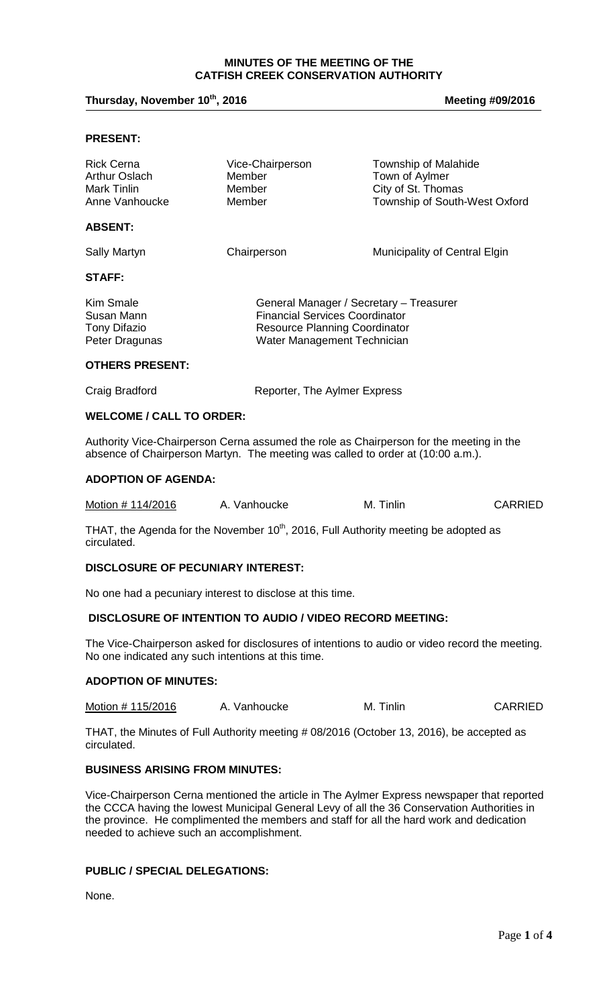## **MINUTES OF THE MEETING OF THE CATFISH CREEK CONSERVATION AUTHORITY**

# Thursday, November 10<sup>th</sup>, 2016

#### **, 2016 Meeting #09/2016**

## **PRESENT:**

| <b>Rick Cerna</b><br>Arthur Oslach<br>Mark Tinlin<br>Anne Vanhoucke | Vice-Chairperson<br>Member<br>Member<br>Member                                                                                                          | <b>Township of Malahide</b><br>Town of Aylmer<br>City of St. Thomas<br>Township of South-West Oxford |
|---------------------------------------------------------------------|---------------------------------------------------------------------------------------------------------------------------------------------------------|------------------------------------------------------------------------------------------------------|
| <b>ABSENT:</b>                                                      |                                                                                                                                                         |                                                                                                      |
| Sally Martyn                                                        | Chairperson                                                                                                                                             | Municipality of Central Elgin                                                                        |
| <b>STAFF:</b>                                                       |                                                                                                                                                         |                                                                                                      |
| Kim Smale<br>Susan Mann<br><b>Tony Difazio</b><br>Peter Dragunas    | General Manager / Secretary - Treasurer<br><b>Financial Services Coordinator</b><br><b>Resource Planning Coordinator</b><br>Water Management Technician |                                                                                                      |
| <b>OTHERS PRESENT:</b>                                              |                                                                                                                                                         |                                                                                                      |

| Craig Bradford |  |
|----------------|--|

Craig Bradford **Reporter**, The Aylmer Express

#### **WELCOME / CALL TO ORDER:**

Authority Vice-Chairperson Cerna assumed the role as Chairperson for the meeting in the absence of Chairperson Martyn. The meeting was called to order at (10:00 a.m.).

#### **ADOPTION OF AGENDA:**

| Motion # 114/2016 | A. Vanhoucke | M. Tinlin | <b>CARRIED</b> |
|-------------------|--------------|-----------|----------------|
|-------------------|--------------|-----------|----------------|

THAT, the Agenda for the November  $10<sup>th</sup>$ , 2016, Full Authority meeting be adopted as circulated.

## **DISCLOSURE OF PECUNIARY INTEREST:**

No one had a pecuniary interest to disclose at this time.

# **DISCLOSURE OF INTENTION TO AUDIO / VIDEO RECORD MEETING:**

The Vice-Chairperson asked for disclosures of intentions to audio or video record the meeting. No one indicated any such intentions at this time.

#### **ADOPTION OF MINUTES:**

Motion # 115/2016 A. Vanhoucke M. Tinlin CARRIED

THAT, the Minutes of Full Authority meeting # 08/2016 (October 13, 2016), be accepted as circulated.

## **BUSINESS ARISING FROM MINUTES:**

Vice-Chairperson Cerna mentioned the article in The Aylmer Express newspaper that reported the CCCA having the lowest Municipal General Levy of all the 36 Conservation Authorities in the province. He complimented the members and staff for all the hard work and dedication needed to achieve such an accomplishment.

# **PUBLIC / SPECIAL DELEGATIONS:**

None.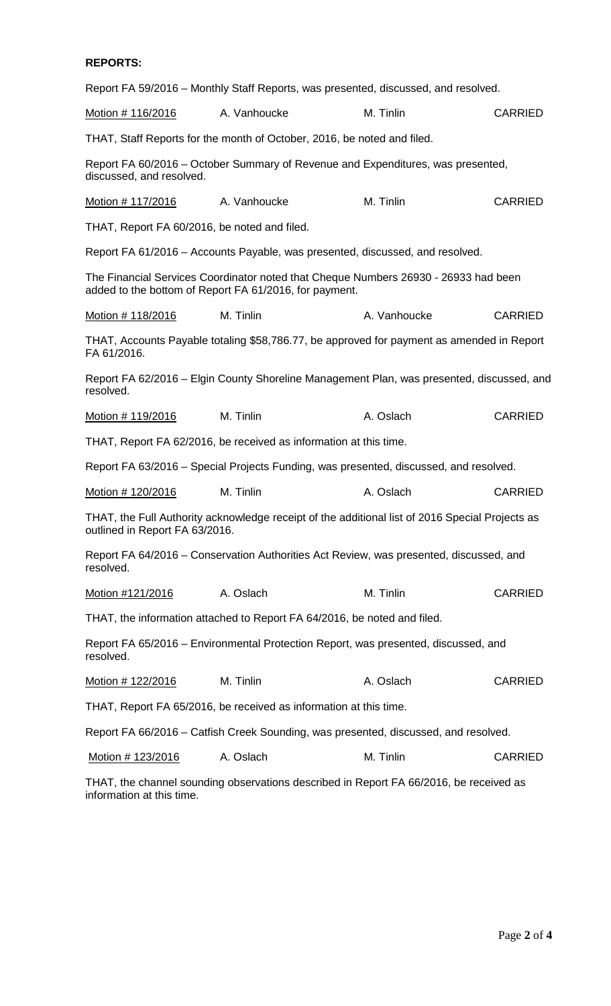## **REPORTS:**

Report FA 59/2016 – Monthly Staff Reports, was presented, discussed, and resolved.

Motion # 116/2016 A. Vanhoucke M. Tinlin CARRIED

THAT, Staff Reports for the month of October, 2016, be noted and filed.

Report FA 60/2016 – October Summary of Revenue and Expenditures, was presented, discussed, and resolved.

Motion # 117/2016 A. Vanhoucke M. Tinlin CARRIED

THAT, Report FA 60/2016, be noted and filed.

Report FA 61/2016 – Accounts Payable, was presented, discussed, and resolved.

The Financial Services Coordinator noted that Cheque Numbers 26930 - 26933 had been added to the bottom of Report FA 61/2016, for payment.

Motion # 118/2016 M. Tinlin A. Vanhoucke CARRIED

THAT, Accounts Payable totaling \$58,786.77, be approved for payment as amended in Report FA 61/2016.

Report FA 62/2016 – Elgin County Shoreline Management Plan, was presented, discussed, and resolved.

Motion # 119/2016 M. Tinlin A. Oslach CARRIED

THAT, Report FA 62/2016, be received as information at this time.

Report FA 63/2016 – Special Projects Funding, was presented, discussed, and resolved.

| Motion # 120/2016 | M. Tinlin | A. Oslach | <b>CARRIED</b> |
|-------------------|-----------|-----------|----------------|
|-------------------|-----------|-----------|----------------|

THAT, the Full Authority acknowledge receipt of the additional list of 2016 Special Projects as outlined in Report FA 63/2016.

Report FA 64/2016 – Conservation Authorities Act Review, was presented, discussed, and resolved.

Motion #121/2016 A. Oslach M. Tinlin CARRIED

THAT, the information attached to Report FA 64/2016, be noted and filed.

Report FA 65/2016 – Environmental Protection Report, was presented, discussed, and resolved.

Motion # 122/2016 M. Tinlin A. Oslach CARRIED

THAT, Report FA 65/2016, be received as information at this time.

Report FA 66/2016 – Catfish Creek Sounding, was presented, discussed, and resolved.

Motion # 123/2016 A. Oslach M. Tinlin CARRIED

THAT, the channel sounding observations described in Report FA 66/2016, be received as information at this time.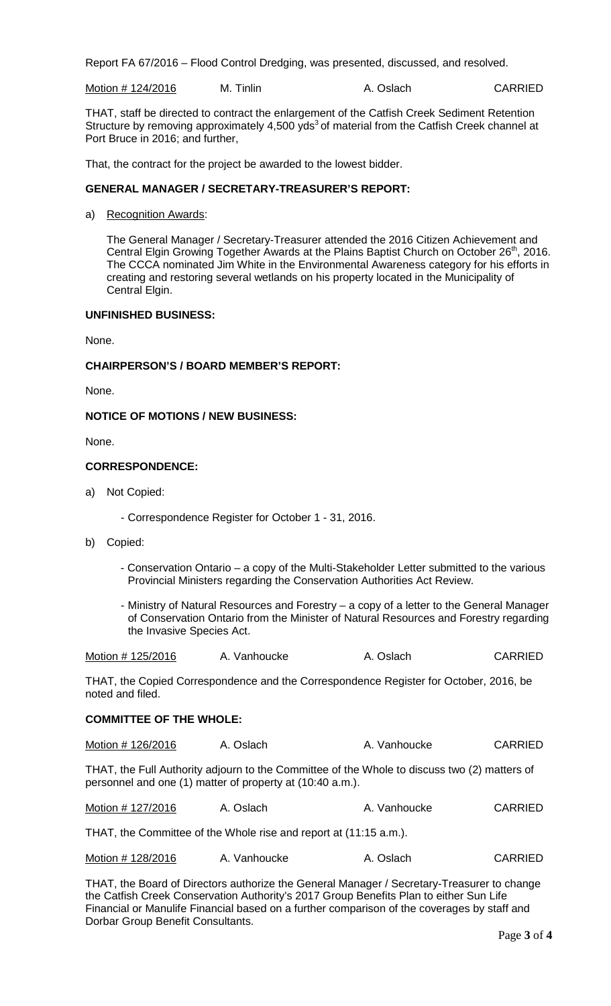Report FA 67/2016 – Flood Control Dredging, was presented, discussed, and resolved.

Motion # 124/2016 M. Tinlin A. Oslach CARRIED

THAT, staff be directed to contract the enlargement of the Catfish Creek Sediment Retention Structure by removing approximately 4,500 yds<sup>3</sup> of material from the Catfish Creek channel at Port Bruce in 2016; and further,

That, the contract for the project be awarded to the lowest bidder.

# **GENERAL MANAGER / SECRETARY-TREASURER'S REPORT:**

a) Recognition Awards:

The General Manager / Secretary-Treasurer attended the 2016 Citizen Achievement and Central Elgin Growing Together Awards at the Plains Baptist Church on October 26<sup>th</sup>, 2016. The CCCA nominated Jim White in the Environmental Awareness category for his efforts in creating and restoring several wetlands on his property located in the Municipality of Central Elgin.

## **UNFINISHED BUSINESS:**

None.

## **CHAIRPERSON'S / BOARD MEMBER'S REPORT:**

None.

## **NOTICE OF MOTIONS / NEW BUSINESS:**

None.

## **CORRESPONDENCE:**

- a) Not Copied:
	- Correspondence Register for October 1 31, 2016.
- b) Copied:
	- Conservation Ontario a copy of the Multi-Stakeholder Letter submitted to the various Provincial Ministers regarding the Conservation Authorities Act Review.
	- Ministry of Natural Resources and Forestry a copy of a letter to the General Manager of Conservation Ontario from the Minister of Natural Resources and Forestry regarding the Invasive Species Act.

| Motion # 125/2016 | A. Vanhoucke | A. Oslach | <b>CARRIED</b> |
|-------------------|--------------|-----------|----------------|
|-------------------|--------------|-----------|----------------|

THAT, the Copied Correspondence and the Correspondence Register for October, 2016, be noted and filed.

## **COMMITTEE OF THE WHOLE:**

Motion # 126/2016 A. Oslach A. Vanhoucke CARRIED

THAT, the Full Authority adjourn to the Committee of the Whole to discuss two (2) matters of personnel and one (1) matter of property at (10:40 a.m.).

| Motion # 127/2016<br>A. Oslach | A. Vanhoucke | <b>CARRIED</b> |
|--------------------------------|--------------|----------------|
|--------------------------------|--------------|----------------|

THAT, the Committee of the Whole rise and report at (11:15 a.m.).

| Motion # 128/2016 | A. Vanhoucke | A. Oslach | <b>CARRIED</b> |
|-------------------|--------------|-----------|----------------|
|-------------------|--------------|-----------|----------------|

THAT, the Board of Directors authorize the General Manager / Secretary-Treasurer to change the Catfish Creek Conservation Authority's 2017 Group Benefits Plan to either Sun Life Financial or Manulife Financial based on a further comparison of the coverages by staff and Dorbar Group Benefit Consultants.